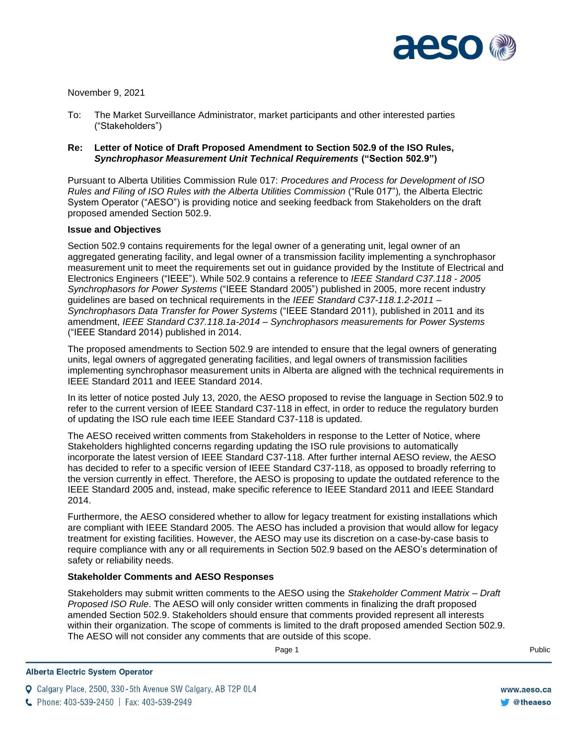

November 9, 2021

To: The Market Surveillance Administrator, market participants and other interested parties ("Stakeholders")

## **Re: Letter of Notice of Draft Proposed Amendment to Section 502.9 of the ISO Rules,**  *Synchrophasor Measurement Unit Technical Requirements* **("Section 502.9")**

Pursuant to Alberta Utilities Commission Rule 017: *Procedures and Process for Development of ISO Rules and Filing of ISO Rules with the Alberta Utilities Commission* ("Rule 017")*,* the Alberta Electric System Operator ("AESO") is providing notice and seeking feedback from Stakeholders on the draft proposed amended Section 502.9.

## **Issue and Objectives**

Section 502.9 contains requirements for the legal owner of a generating unit, legal owner of an aggregated generating facility, and legal owner of a transmission facility implementing a synchrophasor measurement unit to meet the requirements set out in guidance provided by the Institute of Electrical and Electronics Engineers ("IEEE"). While 502.9 contains a reference to *IEEE Standard C37.118 - 2005 Synchrophasors for Power Systems* ("IEEE Standard 2005") published in 2005, more recent industry guidelines are based on technical requirements in the *IEEE Standard C37-118.1.2-2011 – Synchrophasors Data Transfer for Power Systems* ("IEEE Standard 2011), published in 2011 and its amendment, *IEEE Standard C37.118.1a-2014 – Synchrophasors measurements for Power Systems* ("IEEE Standard 2014) published in 2014.

The proposed amendments to Section 502.9 are intended to ensure that the legal owners of generating units, legal owners of aggregated generating facilities, and legal owners of transmission facilities implementing synchrophasor measurement units in Alberta are aligned with the technical requirements in IEEE Standard 2011 and IEEE Standard 2014.

In its letter of notice posted July 13, 2020, the AESO proposed to revise the language in Section 502.9 to refer to the current version of IEEE Standard C37-118 in effect, in order to reduce the regulatory burden of updating the ISO rule each time IEEE Standard C37-118 is updated.

The AESO received written comments from Stakeholders in response to the Letter of Notice, where Stakeholders highlighted concerns regarding updating the ISO rule provisions to automatically incorporate the latest version of IEEE Standard C37-118. After further internal AESO review, the AESO has decided to refer to a specific version of IEEE Standard C37-118, as opposed to broadly referring to the version currently in effect. Therefore, the AESO is proposing to update the outdated reference to the IEEE Standard 2005 and, instead, make specific reference to IEEE Standard 2011 and IEEE Standard 2014.

Furthermore, the AESO considered whether to allow for legacy treatment for existing installations which are compliant with IEEE Standard 2005. The AESO has included a provision that would allow for legacy treatment for existing facilities. However, the AESO may use its discretion on a case-by-case basis to require compliance with any or all requirements in Section 502.9 based on the AESO's determination of safety or reliability needs.

## **Stakeholder Comments and AESO Responses**

Stakeholders may submit written comments to the AESO using the *Stakeholder Comment Matrix – Draft Proposed ISO Rule*. The AESO will only consider written comments in finalizing the draft proposed amended Section 502.9. Stakeholders should ensure that comments provided represent all interests within their organization. The scope of comments is limited to the draft proposed amended Section 502.9. The AESO will not consider any comments that are outside of this scope.

Page 1 Public Research of the Second Library and Second Library and Second Library and Public Research of the R